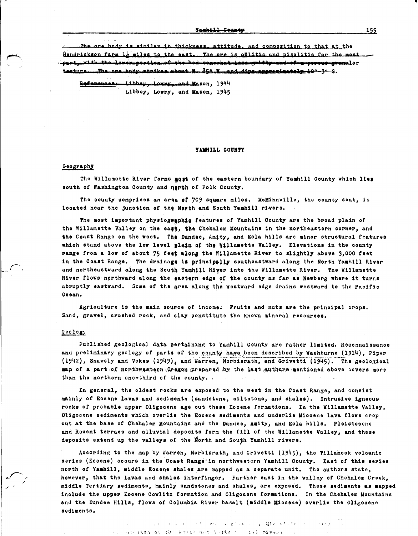The ore hody is similar in thickness, attitude, and composition to that at the Hendrickson farm 1+ miles to the east. The ore is oblitic and pisolitic for the most <u>. port with the lower portion of the bod consumed less maintenance and reversualer</u> taxtura. The ore hody stuikes about N. 858 K. and dips approximately 10°-3° S.

References. Libber, Lowny, and Mason, 1944 Libbey, Lowry, and Mason, 1945

#### YAMHILL COUNTY

### Geography

The Willamette River forms most of the eastern boundary of Yamhill County which lies south of Washington County and nerth of Polk County.

The county comprises an area of 709 square miles. MoMinnville, the county seat, is located near the junction of the North and South Yamhill rivers.

The most important physiographic features of Yamhill County are the broad plain of the Willamette Valley on the east, the Chehalem Mountains in the northeastern corner, and the Coast Range on the west. The Dundee, Amity, and Eola hills are minor structural features which stand above the low level plain of the Willamette Valley. Elevations in the county range from a low of about 75 feet along the Willamette River to slightly above 3,000 feet in the Coast Range. The drainage is principally southeastward along the North Yamhill River and northeastward along the South Yamhill River into the Willamette River. The Willamette River flows northward along the eastern edge of the county as far as Newberg where it turns abruptly eastward. Some of the area along the westward edge drains westward to the Pacific Ocean.

Agriculture is the main source of income. Fruits and nuts are the principal crops. Sand, gravel, crushed rock, and clay constitute the known mineral resources.

### Geology

Published geological data pertaining to Yamhill County are rather limited. Reconnaissance and preliminary geology of parts of the county have been described by Washburne (1914), Piper (1942), Snavely and Vokes (1949), and Warren, Norbisrath, and Grivetti (1945). The geological map of a part of northwestern Oregon prepared by the last suthors mentioned above covers more than the northern one-third of the county.

In general, the oldest rocks are exposed to the west in the Coast Range, and consist mainly of Eocene lavas and sediments (sandstone, siltstone, and shales). Intrusive igneous rocks of probable upper Oligocene age cut these Eocene formations. In the Willamette Valley, Oligocene sediments which overlie the Eocene sediments and underlie Miocene lava flows crop out at the base of Chehalem Mountains and the Dundee, Amity, and Eola hills. Pleistocene and Recent terrace and alluvial deposits form the fill of the Willamette Valley, and these deposits extend up the valleys of the North and South Yamhill rivers.

According to the map by Warren, Norbisrath, and Grivetti (1945), the Tillamook volcanic series (Eccene) occurs in the Coast Range'in northwestern Yamhill County. East of this series north of Yamhill, middle Eocene shales are mapped as a separate unit. The authors state, however, that the lavas and shales interfinger. Farther east in the valley of Chehalem Creek, middle Tertiary sediments, mainly sandstones and shales, are exposed. These sediments as mapped include the upper Eocene Cowlitz formation and Oligocene formations. In the Chehalem Mountains and the Dundee Hills, flows of Columbia River basalt (middle Miocene) overlie the Oligocene sediments.

> ふきしききかん てんこうき アカルバ あしおりふかい しょう結果 しゅぎんちん しかく 法推动基准通用资料等 可缺点的 最后的过去分词 电动力电子电极 计 ail steers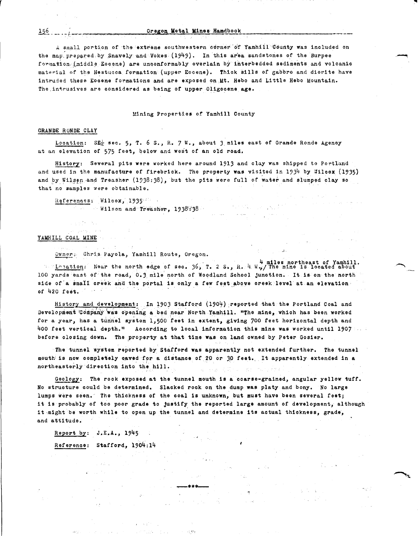| <u> Oregon Metal Mines Handbook</u> |  |  |
|-------------------------------------|--|--|
|                                     |  |  |

A small portion of the extreme southwestern corner of Yamhill County was included on the map prepared by Snavely and Vokes (1949). In this area sandstones of the Burpee formation (middle Eocene) are unconformably overlain by interbedded sediments and volcanic material of the Nestucca formation (upper Eocene). Thick sills of gabbro and diorite have intruded these Eocene formations and are exposed on Mt. Hebo and Little Hebo Mountain. The intrusives are considered as being of upper Oligocene age.

### Mining Properties of Yamhill County

### GRANDE RONDE CLAY

Location: SE<sub> $\frac{1}{4}$ </sub> sec. 5, T. 6 S., R. 7 W., about 3 miles east of Grande Ronde Agency at an elevation of 575 feet, below and west of an old road.

History: Several pits were worked here around 1913 and clay was shipped to Portland and used in the manufacture of firebrick. The property was visited in 1934 by Wilcox (1935) and by Wilson and Treasher (1938:38), but the pits were full of water and slumped clay so that no samples were obtainable.

References: Wilcox, 1935  $\sim$  Wilson and Treasher, 1938-38

YAMHILL COAL MINE

Owner: Chris Payola, Yamhill Route, Oregon.

the miles northeast of Yamhill.<br>Lettion: Near the north edge of sec. 36, T. 2 S., R. 4 W./ The mine is located about 100 yards east of the road, 0.3 mile north of Woodland School junction. It is on the north side of a small creek and the portal is only a few feet above creek level at an elevation. of 420 feet.

History and development: In 1903 Stafford (1904) reported that the Portland Coal and Development Company was opening a bed near North Yamhill. "The mine, which has been worked for a year, has a tunnel system 1,500 feet in extent, giving 700 feet horizontal depth and 400 feet vertical depth." According to local information this mine was worked until 1907 before closing down. The property at that time was on land owned by Peter Gosier.

The tunnel system reported by Stafford was apparently not extended further. The tunnel mouth is now completely caved for a distance of 20 or 30 feet. It apparently extended in a northeasterly direction into the hill.

Geology: The rock exposed at the tunnel mouth is a coarse-grained, angular yellow tuff. No structure could be determined. Slacked rock on the dump was platy and bony. No large lumps were seen. The thickness of the coal is unknown, but must have been several feet; it is probably of too poor grade to justify the reported large amount of development, although it might be worth while to open up the tunnel and determine its actual thickness, grade, and attitude.

Report by: J.E.A., 1945

Reference: Stafford, 1904:14

 $156$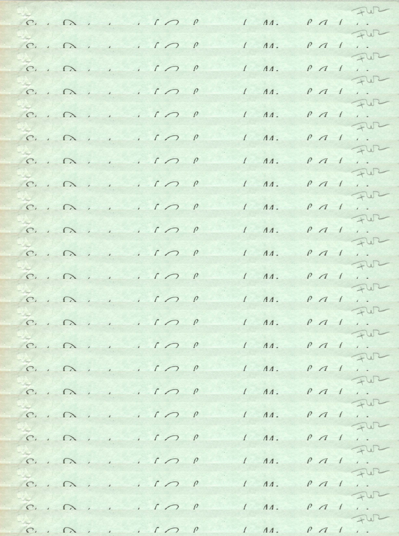|  |  |  | $C_{1}$ , $D_{2}$ , $I_{1}$                        |  |                         |  | Fur<br>1 11. P 1 1                          |
|--|--|--|----------------------------------------------------|--|-------------------------|--|---------------------------------------------|
|  |  |  | $C_{1}$ , $D_{2}$ , $I_{1}$ , $I_{2}$              |  | $1$ $11.$ $11.$         |  |                                             |
|  |  |  | $C_{1}$ , $D_{2}$ , $I_{1}$ , $I_{2}$              |  |                         |  | 1 11. P 1 1                                 |
|  |  |  | $C_1 \cdot D_2 \cdot C_3 \cdot D_1$                |  | 1 11. $P$ 1 1.          |  |                                             |
|  |  |  | $C_{1}$ , $D_{2}$ , $I_{1}$ , $I_{2}$              |  |                         |  | $\overline{+}\overline{u^2}$<br>1 11. P 1 1 |
|  |  |  |                                                    |  |                         |  |                                             |
|  |  |  | $C_{1}$ , $D_{2}$ , $I_{1}$ , $I_{2}$              |  |                         |  | 1 11. P 1 1 .                               |
|  |  |  | C. A. 10 P                                         |  |                         |  | 1 11. P 1 1                                 |
|  |  |  | C. A. L. 100                                       |  |                         |  | 1 11. P 1 1                                 |
|  |  |  | $C_{1}$ , $D_{2}$ , $I_{1}$                        |  |                         |  | 1 11. P 1 1 .                               |
|  |  |  | $C_1$ , $D_2$ , $C_3$ , $C_4$ , $C_5$ , $C_7$      |  | $1$ $11.$ $11.$         |  | Fur                                         |
|  |  |  | $C_{1}$ , $D_{2}$ , $I_{1}$ , $I_{2}$              |  |                         |  | 1 11. P 1 1                                 |
|  |  |  | $C_{1}$ , $D_{2}$ , $I_{1}$ , $I_{2}$              |  |                         |  |                                             |
|  |  |  | C. A. INDP                                         |  |                         |  | 1 11. PAI :                                 |
|  |  |  | C. A. 10 P                                         |  | $1$ $11$ , $11$ ,       |  |                                             |
|  |  |  | C. A. 10 P                                         |  |                         |  | $1$ $11.$ $9$ $1$ $1$ .                     |
|  |  |  | C. . D. 10 P                                       |  |                         |  | 1 11. P 1 1 .                               |
|  |  |  | C. A. 10 P                                         |  |                         |  | 1 11. P 1 1                                 |
|  |  |  | $C_{1}$ , $D_{2}$ , $I_{1}$ , $I_{2}$              |  | $1$ $11.$ $P$ $1$ $1$ . |  |                                             |
|  |  |  | $C. \cap C.$ 0                                     |  | $1$ $11.$ $11.$         |  |                                             |
|  |  |  | C. A. 10 P                                         |  | $1$ $11$ , $21$ ,       |  | $+42$                                       |
|  |  |  | $C_{1}$ , $D_{2}$ , $I_{1}$ , $I_{2}$              |  | $1$ $11$ , $11$ ,       |  |                                             |
|  |  |  | $C_{1}$ , $D_{2}$ , $I_{1}$ , $I_{2}$              |  |                         |  | 1 11. P 1 1 .                               |
|  |  |  | $C_{1}$ , $\bigcap$ , $\bigcap$ , $\bigcap$ $\rho$ |  | $1$ $11.$ $P$ $1$ $1.$  |  |                                             |
|  |  |  |                                                    |  |                         |  |                                             |